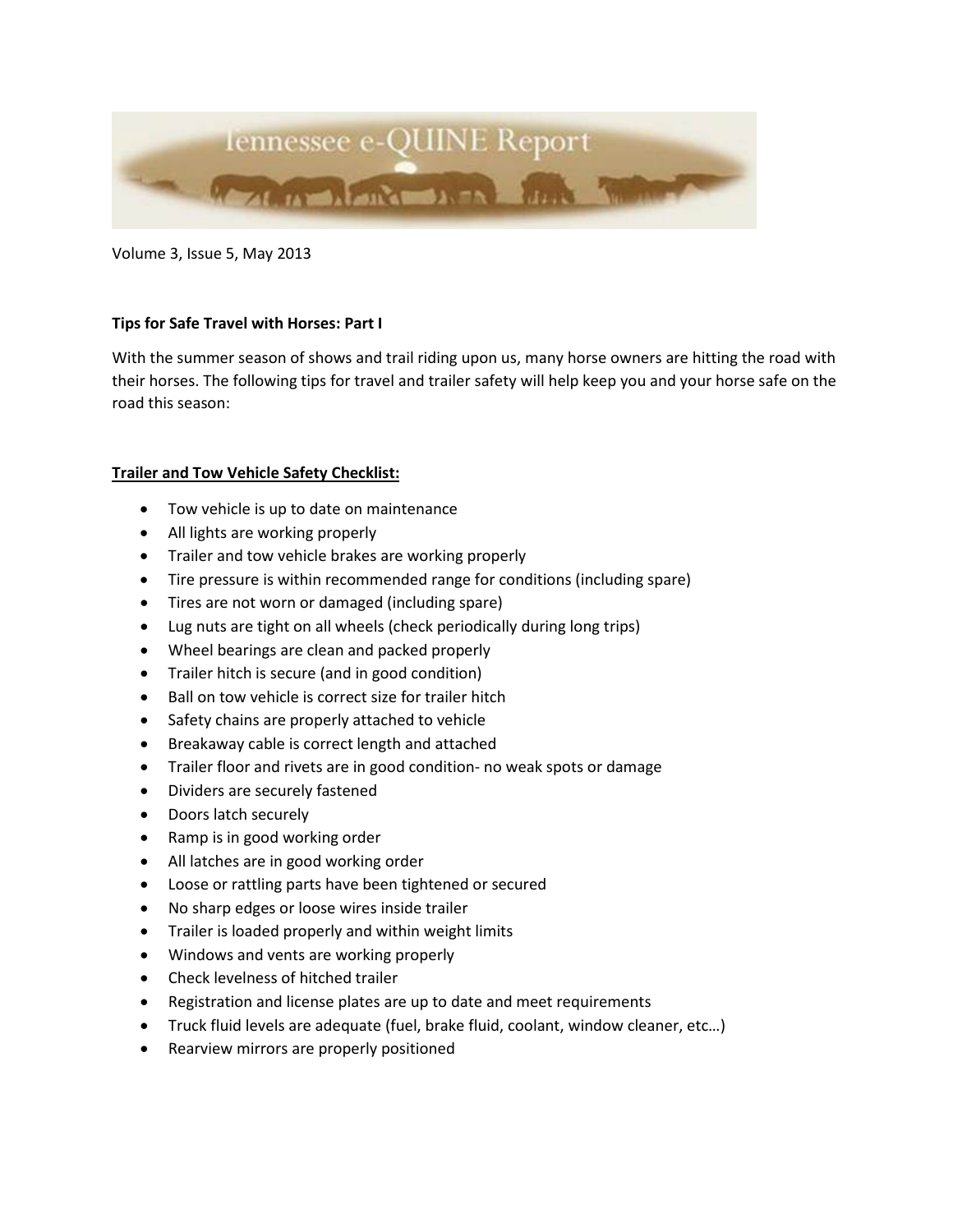

Volume 3, Issue 5, May 2013

## **Tips for Safe Travel with Horses: Part I**

With the summer season of shows and trail riding upon us, many horse owners are hitting the road with their horses. The following tips for travel and trailer safety will help keep you and your horse safe on the road this season:

## **Trailer and Tow Vehicle Safety Checklist:**

- Tow vehicle is up to date on maintenance
- All lights are working properly
- Trailer and tow vehicle brakes are working properly
- Tire pressure is within recommended range for conditions (including spare)
- Tires are not worn or damaged (including spare)
- Lug nuts are tight on all wheels (check periodically during long trips)
- Wheel bearings are clean and packed properly
- Trailer hitch is secure (and in good condition)
- Ball on tow vehicle is correct size for trailer hitch
- Safety chains are properly attached to vehicle
- Breakaway cable is correct length and attached
- Trailer floor and rivets are in good condition- no weak spots or damage
- Dividers are securely fastened
- Doors latch securely
- Ramp is in good working order
- All latches are in good working order
- Loose or rattling parts have been tightened or secured
- No sharp edges or loose wires inside trailer
- Trailer is loaded properly and within weight limits
- Windows and vents are working properly
- Check levelness of hitched trailer
- Registration and license plates are up to date and meet requirements
- Truck fluid levels are adequate (fuel, brake fluid, coolant, window cleaner, etc…)
- Rearview mirrors are properly positioned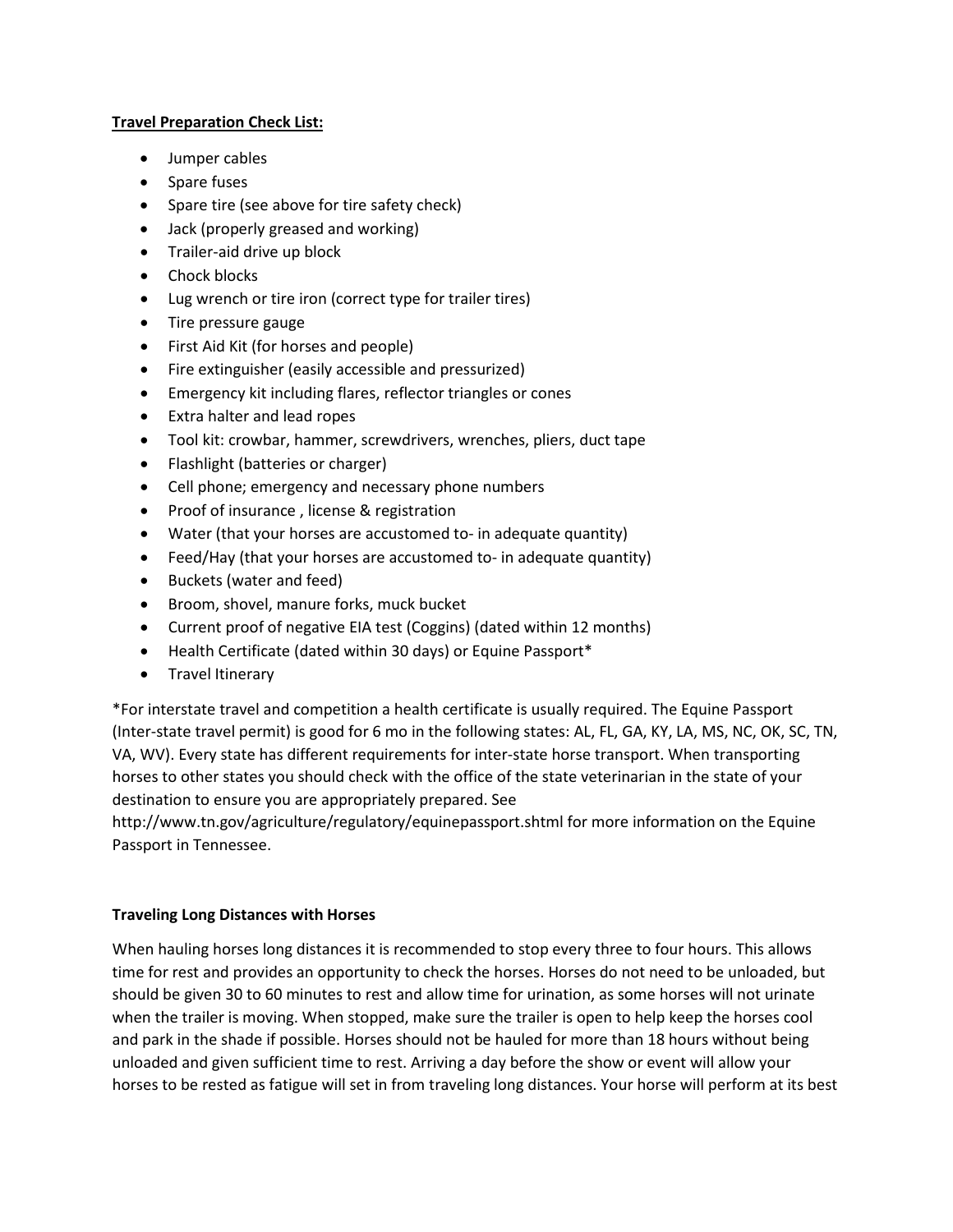## **Travel Preparation Check List:**

- Jumper cables
- Spare fuses
- Spare tire (see above for tire safety check)
- Jack (properly greased and working)
- Trailer-aid drive up block
- Chock blocks
- Lug wrench or tire iron (correct type for trailer tires)
- Tire pressure gauge
- First Aid Kit (for horses and people)
- Fire extinguisher (easily accessible and pressurized)
- Emergency kit including flares, reflector triangles or cones
- Extra halter and lead ropes
- Tool kit: crowbar, hammer, screwdrivers, wrenches, pliers, duct tape
- Flashlight (batteries or charger)
- Cell phone; emergency and necessary phone numbers
- Proof of insurance , license & registration
- Water (that your horses are accustomed to- in adequate quantity)
- Feed/Hay (that your horses are accustomed to- in adequate quantity)
- Buckets (water and feed)
- Broom, shovel, manure forks, muck bucket
- Current proof of negative EIA test (Coggins) (dated within 12 months)
- Health Certificate (dated within 30 days) or Equine Passport\*
- Travel Itinerary

\*For interstate travel and competition a health certificate is usually required. The Equine Passport (Inter-state travel permit) is good for 6 mo in the following states: AL, FL, GA, KY, LA, MS, NC, OK, SC, TN, VA, WV). Every state has different requirements for inter-state horse transport. When transporting horses to other states you should check with the office of the state veterinarian in the state of your destination to ensure you are appropriately prepared. See

http://www.tn.gov/agriculture/regulatory/equinepassport.shtml for more information on the Equine Passport in Tennessee.

## **Traveling Long Distances with Horses**

When hauling horses long distances it is recommended to stop every three to four hours. This allows time for rest and provides an opportunity to check the horses. Horses do not need to be unloaded, but should be given 30 to 60 minutes to rest and allow time for urination, as some horses will not urinate when the trailer is moving. When stopped, make sure the trailer is open to help keep the horses cool and park in the shade if possible. Horses should not be hauled for more than 18 hours without being unloaded and given sufficient time to rest. Arriving a day before the show or event will allow your horses to be rested as fatigue will set in from traveling long distances. Your horse will perform at its best